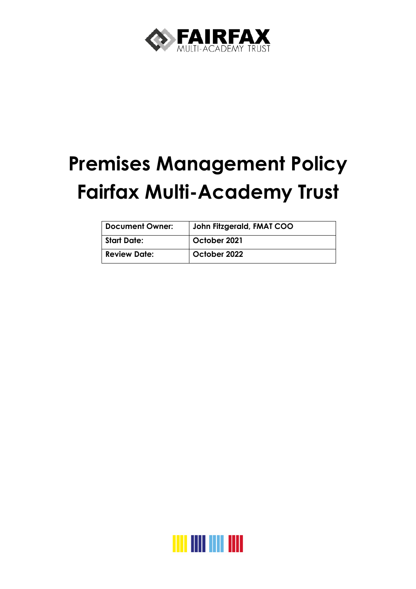

# **Premises Management Policy Fairfax Multi-Academy Trust**

| <b>Document Owner:</b> | John Fitzgerald, FMAT COO |
|------------------------|---------------------------|
| <b>Start Date:</b>     | October 2021              |
| <b>Review Date:</b>    | October 2022              |

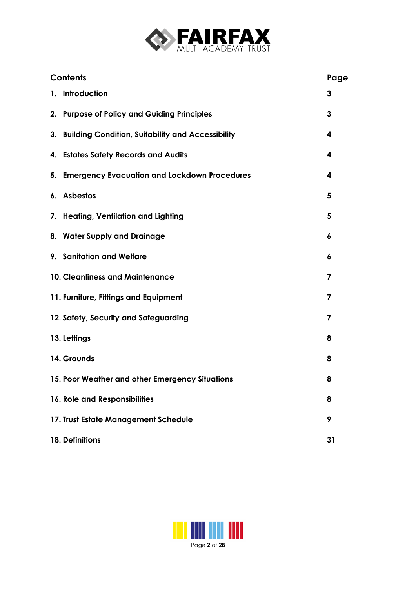

| <b>Contents</b>                                      | Page |
|------------------------------------------------------|------|
| 1. Introduction                                      | 3    |
| 2. Purpose of Policy and Guiding Principles          | 3    |
| 3. Building Condition, Suitability and Accessibility | 4    |
| 4. Estates Safety Records and Audits                 | 4    |
| 5. Emergency Evacuation and Lockdown Procedures      | 4    |
| 6. Asbestos                                          | 5    |
| 7. Heating, Ventilation and Lighting                 | 5    |
| 8. Water Supply and Drainage                         | 6    |
| 9. Sanitation and Welfare                            | 6    |
| <b>10. Cleanliness and Maintenance</b>               | 7    |
| 11. Furniture, Fittings and Equipment                | 7    |
| 12. Safety, Security and Safeguarding                | 7    |
| 13. Lettings                                         | 8    |
| 14. Grounds                                          | 8    |
| 15. Poor Weather and other Emergency Situations      | 8    |
| 16. Role and Responsibilities                        | 8    |
| 17. Trust Estate Management Schedule                 | 9    |
| 18. Definitions                                      | 31   |

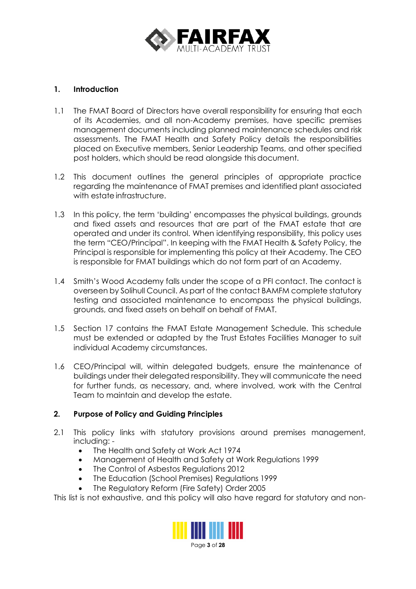

## **1. Introduction**

- 1.1 The FMAT Board of Directors have overall responsibility for ensuring that each of its Academies, and all non-Academy premises, have specific premises management documents including planned maintenance schedules and risk assessments. The FMAT Health and Safety Policy details the responsibilities placed on Executive members, Senior Leadership Teams, and other specified post holders, which should be read alongside thisdocument.
- 1.2 This document outlines the general principles of appropriate practice regarding the maintenance of FMAT premises and identified plant associated with estate infrastructure.
- 1.3 In this policy, the term 'building' encompasses the physical buildings, grounds and fixed assets and resources that are part of the FMAT estate that are operated and under its control. When identifying responsibility, this policy uses the term "CEO/Principal". In keeping with the FMAT Health & Safety Policy, the Principal is responsible for implementing this policy at their Academy. The CEO is responsible for FMAT buildings which do not form part of an Academy.
- 1.4 Smith's Wood Academy falls under the scope of a PFI contact. The contact is overseen by Solihull Council. As part of the contact BAMFM complete statutory testing and associated maintenance to encompass the physical buildings, grounds, and fixed assets on behalf on behalf of FMAT.
- 1.5 Section 17 contains the FMAT Estate Management Schedule. This schedule must be extended or adapted by the Trust Estates Facilities Manager to suit individual Academy circumstances.
- 1.6 CEO/Principal will, within delegated budgets, ensure the maintenance of buildings under their delegated responsibility. They will communicate the need for further funds, as necessary, and, where involved, work with the Central Team to maintain and develop the estate.

## **2. Purpose of Policy and Guiding Principles**

- 2.1 This policy links with statutory provisions around premises management, including: -
	- The Health and Safety at Work Act 1974
	- Management of Health and Safety at Work Regulations 1999
	- The Control of Asbestos Regulations 2012
	- The Education (School Premises) Regulations 1999
	- The Regulatory Reform (Fire Safety) Order 2005

This list is not exhaustive, and this policy will also have regard for statutory and non-



Page **3** of **28**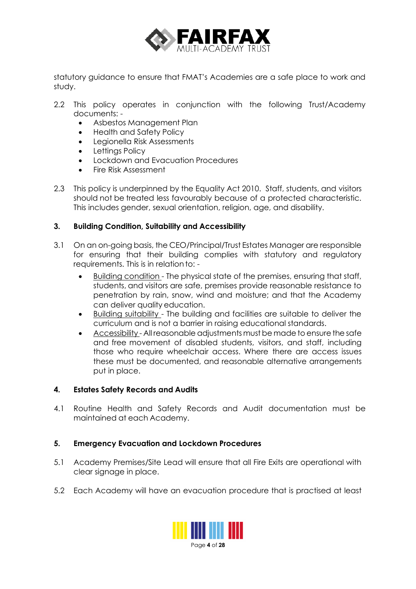

statutory guidance to ensure that FMAT's Academies are a safe place to work and study.

- 2.2 This policy operates in conjunction with the following Trust/Academy documents: -
	- Asbestos Management Plan
	- Health and Safety Policy
	- Legionella Risk Assessments
	- Lettings Policy
	- Lockdown and Evacuation Procedures
	- Fire Risk Assessment
- 2.3 This policy is underpinned by the Equality Act 2010. Staff, students, and visitors should not be treated less favourably because of a protected characteristic. This includes gender, sexual orientation, religion, age, and disability.

## **3. Building Condition, Suitability and Accessibility**

- 3.1 On an on-going basis, the CEO/Principal/Trust Estates Manager are responsible for ensuring that their building complies with statutory and regulatory requirements. This is in relation to: -
	- Building condition The physical state of the premises, ensuring that staff, students, and visitors are safe, premises provide reasonable resistance to penetration by rain, snow, wind and moisture; and that the Academy can deliver quality education.
	- Building suitability The building and facilities are suitable to deliver the curriculum and is not a barrier in raising educational standards.
	- Accessibility All reasonable adjustments must be made to ensure the safe and free movement of disabled students, visitors, and staff, including those who require wheelchair access. Where there are access issues these must be documented, and reasonable alternative arrangements put in place.

#### **4. Estates Safety Records and Audits**

4.1 Routine Health and Safety Records and Audit documentation must be maintained at each Academy.

#### **5. Emergency Evacuation and Lockdown Procedures**

- 5.1 Academy Premises/Site Lead will ensure that all Fire Exits are operational with clear signage in place.
- 5.2 Each Academy will have an evacuation procedure that is practised at least

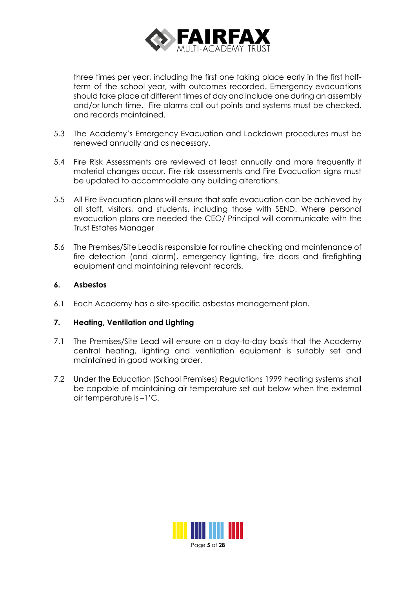

three times per year, including the first one taking place early in the first halfterm of the school year, with outcomes recorded. Emergency evacuations should take place at different times of day and include one during an assembly and/or lunch time. Fire alarms call out points and systems must be checked, and records maintained.

- 5.3 The Academy's Emergency Evacuation and Lockdown procedures must be renewed annually and as necessary.
- 5.4 Fire Risk Assessments are reviewed at least annually and more frequently if material changes occur. Fire risk assessments and Fire Evacuation signs must be updated to accommodate any building alterations.
- 5.5 All Fire Evacuation plans will ensure that safe evacuation can be achieved by all staff, visitors, and students, including those with SEND. Where personal evacuation plans are needed the CEO/ Principal will communicate with the Trust Estates Manager
- 5.6 The Premises/Site Lead is responsible for routine checking and maintenance of fire detection (and alarm), emergency lighting, fire doors and firefighting equipment and maintaining relevant records.

## **6. Asbestos**

6.1 Each Academy has a site-specific asbestos management plan.

#### **7. Heating, Ventilation and Lighting**

- 7.1 The Premises/Site Lead will ensure on a day-to-day basis that the Academy central heating, lighting and ventilation equipment is suitably set and maintained in good working order.
- 7.2 Under the Education (School Premises) Regulations 1999 heating systems shall be capable of maintaining air temperature set out below when the external air temperature is –1'C.

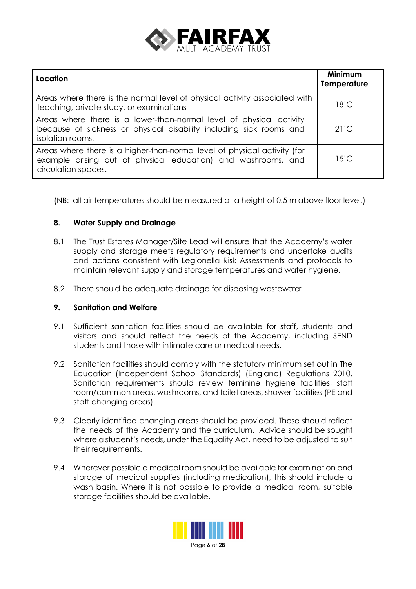

| Location                                                                                                                                                          | <b>Minimum</b><br><b>Temperature</b> |
|-------------------------------------------------------------------------------------------------------------------------------------------------------------------|--------------------------------------|
| Areas where there is the normal level of physical activity associated with<br>teaching, private study, or examinations                                            | $18^{\circ}$ C                       |
| Areas where there is a lower-than-normal level of physical activity<br>because of sickness or physical disability including sick rooms and<br>isolation rooms.    | $21^{\prime}$ C                      |
| Areas where there is a higher-than-normal level of physical activity (for<br>example arising out of physical education) and washrooms, and<br>circulation spaces. | $15^{\circ}$ C                       |

(NB: all air temperatures should be measured at a height of 0.5 m above floor level.)

## **8. Water Supply and Drainage**

- 8.1 The Trust Estates Manager/Site Lead will ensure that the Academy's water supply and storage meets regulatory requirements and undertake audits and actions consistent with Legionella Risk Assessments and protocols to maintain relevant supply and storage temperatures and water hygiene.
- 8.2 There should be adequate drainage for disposing wastewater.

#### **9. Sanitation and Welfare**

- 9.1 Sufficient sanitation facilities should be available for staff, students and visitors and should reflect the needs of the Academy, including SEND students and those with intimate care or medical needs.
- 9.2 Sanitation facilities should comply with the statutory minimum set out in The Education (Independent School Standards) (England) Regulations 2010. Sanitation requirements should review feminine hygiene facilities, staff room/common areas, washrooms, and toilet areas, shower facilities (PE and staff changing areas).
- 9.3 Clearly identified changing areas should be provided. These should reflect the needs of the Academy and the curriculum. Advice should be sought where a student's needs, under the Equality Act, need to be adjusted to suit their requirements.
- 9.4 Wherever possible a medical room should be available for examination and storage of medical supplies (including medication), this should include a wash basin. Where it is not possible to provide a medical room, suitable storage facilities should be available.

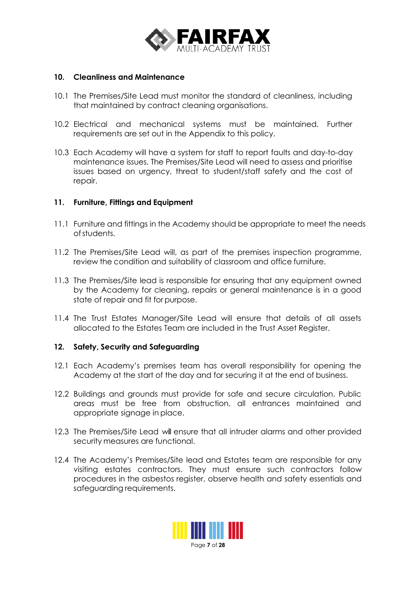

#### **10. Cleanliness and Maintenance**

- 10.1 The Premises/Site Lead must monitor the standard of cleanliness, including that maintained by contract cleaning organisations.
- 10.2 Electrical and mechanical systems must be maintained. Further requirements are set out in the Appendix to this policy.
- 10.3 Each Academy will have a system for staff to report faults and day-to-day maintenance issues. The Premises/Site Lead will need to assess and prioritise issues based on urgency, threat to student/staff safety and the cost of repair.

#### **11. Furniture, Fittings and Equipment**

- 11.1 Furniture and fittings in the Academy should be appropriate to meet the needs ofstudents.
- 11.2 The Premises/Site Lead will, as part of the premises inspection programme, review the condition and suitability of classroom and office furniture.
- 11.3 The Premises/Site lead is responsible for ensuring that any equipment owned by the Academy for cleaning, repairs or general maintenance is in a good state of repair and fit for purpose.
- 11.4 The Trust Estates Manager/Site Lead will ensure that details of all assets allocated to the Estates Team are included in the Trust Asset Register.

#### **12. Safety, Security and Safeguarding**

- 12.1 Each Academy's premises team has overall responsibility for opening the Academy at the start of the day and for securing it at the end of business.
- 12.2 Buildings and grounds must provide for safe and secure circulation. Public areas must be free from obstruction, all entrances maintained and appropriate signage in place.
- 12.3 The Premises/Site Lead will ensure that all intruder alarms and other provided security measures are functional.
- 12.4 The Academy's Premises/Site lead and Estates team are responsible for any visiting estates contractors. They must ensure such contractors follow procedures in the asbestos register, observe health and safety essentials and safeguarding requirements.

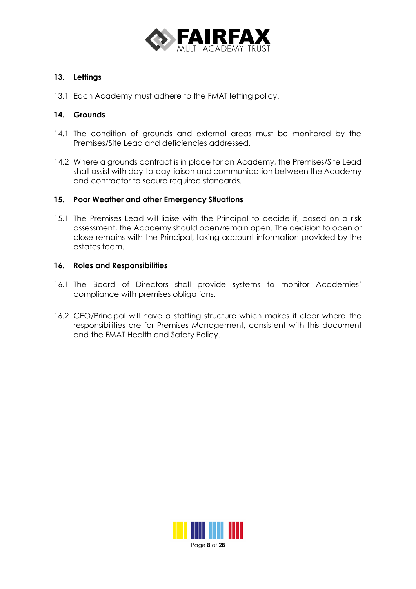

## **13. Lettings**

13.1 Each Academy must adhere to the FMAT letting policy.

#### **14. Grounds**

- 14.1 The condition of grounds and external areas must be monitored by the Premises/Site Lead and deficiencies addressed.
- 14.2 Where a grounds contract is in place for an Academy, the Premises/Site Lead shall assist with day-to-day liaison and communication between the Academy and contractor to secure required standards.

#### **15. Poor Weather and other Emergency Situations**

15.1 The Premises Lead will liaise with the Principal to decide if, based on a risk assessment, the Academy should open/remain open. The decision to open or close remains with the Principal, taking account information provided by the estates team.

#### **16. Roles and Responsibilities**

- 16.1 The Board of Directors shall provide systems to monitor Academies' compliance with premises obligations.
- 16.2 CEO/Principal will have a staffing structure which makes it clear where the responsibilities are for Premises Management, consistent with this document and the FMAT Health and Safety Policy.

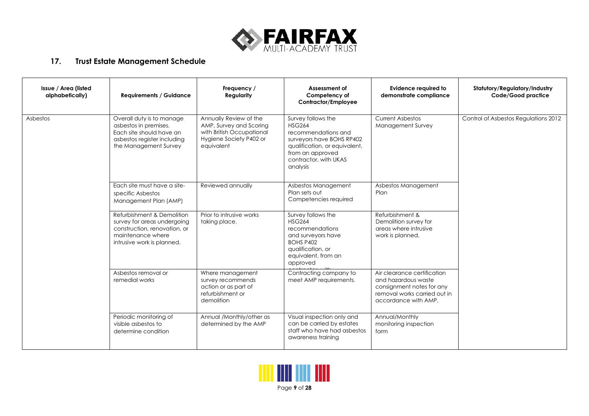

## **17. Trust Estate Management Schedule**

| Issue / Area (listed<br>alphabetically) | <b>Requirements / Guidance</b>                                                                                                               | Frequency /<br>Regularity                                                                                               | Assessment of<br>Competency of<br>Contractor/Employee                                                                                                                             | <b>Evidence required to</b><br>demonstrate compliance                                                                                   | Statutory/Regulatory/Industry<br>Code/Good practice |
|-----------------------------------------|----------------------------------------------------------------------------------------------------------------------------------------------|-------------------------------------------------------------------------------------------------------------------------|-----------------------------------------------------------------------------------------------------------------------------------------------------------------------------------|-----------------------------------------------------------------------------------------------------------------------------------------|-----------------------------------------------------|
| Asbestos                                | Overall duty is to manage<br>asbestos in premises.<br>Each site should have an<br>asbestos register including<br>the Management Survey       | Annually Review of the<br>AMP, Survey and Scoring<br>with British Occupational<br>Hygiene Society P402 or<br>equivalent | Survey follows the<br><b>HSG264</b><br>recommendations and<br>surveyors have BOHS RP402<br>qualification, or equivalent,<br>from an approved<br>contractor, with UKAS<br>analysis | <b>Current Asbestos</b><br><b>Management Survey</b>                                                                                     | Control of Asbestos Regulations 2012                |
|                                         | Each site must have a site-<br>specific Asbestos<br>Management Plan (AMP)                                                                    | Reviewed annually                                                                                                       | Asbestos Management<br>Plan sets out<br>Competencies required                                                                                                                     | Asbestos Management<br>Plan                                                                                                             |                                                     |
|                                         | Refurbishment & Demolition<br>survey for areas undergoing<br>construction, renovation, or<br>maintenance where<br>intrusive work is planned. | Prior to intrusive works<br>taking place.                                                                               | Survey follows the<br><b>HSG264</b><br>recommendations<br>and surveyors have<br>BOHS P402<br>qualification, or<br>equivalent, from an<br>approved                                 | Refurbishment &<br>Demolition survey for<br>areas where intrusive<br>work is planned.                                                   |                                                     |
|                                         | Asbestos removal or<br>remedial works                                                                                                        | Where management<br>survey recommends<br>action or as part of<br>refurbishment or<br>demolition                         | Contracting company to<br>meet AMP requirements.                                                                                                                                  | Air clearance certification<br>and hazardous waste<br>consignment notes for any<br>removal works carried out in<br>accordance with AMP. |                                                     |
|                                         | Periodic monitoring of<br>visible asbestos to<br>determine condition                                                                         | Annual /Monthly/other as<br>determined by the AMP                                                                       | Visual inspection only and<br>can be carried by estates<br>staff who have had asbestos<br>awareness training                                                                      | Annual/Monthly<br>monitoring inspection<br>form                                                                                         |                                                     |

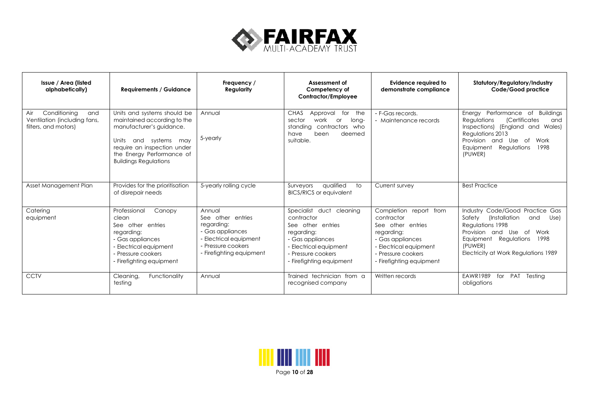

| Issue / Area (listed<br>alphabetically)                                            | <b>Requirements / Guidance</b>                                                                                                                                                                                 | Frequency /<br>Regularity                                                                                                                 | Assessment of<br>Competency of<br>Contractor/Employee                                                                                                                     | <b>Evidence required to</b><br>demonstrate compliance                                                                                                                   | Statutory/Regulatory/Industry<br>Code/Good practice                                                                                                                                                                        |
|------------------------------------------------------------------------------------|----------------------------------------------------------------------------------------------------------------------------------------------------------------------------------------------------------------|-------------------------------------------------------------------------------------------------------------------------------------------|---------------------------------------------------------------------------------------------------------------------------------------------------------------------------|-------------------------------------------------------------------------------------------------------------------------------------------------------------------------|----------------------------------------------------------------------------------------------------------------------------------------------------------------------------------------------------------------------------|
| Conditioning<br>Air<br>and<br>Ventilation (including fans,<br>filters, and motors) | Units and systems should be<br>maintained according to the<br>manufacturer's guidance.<br>and systems may<br>Units<br>require an inspection under<br>the Energy Performance of<br><b>Buildings Regulations</b> | Annual<br>5-yearly                                                                                                                        | <b>CHAS</b><br>Approval<br>for<br>the<br>sector<br>work<br><b>or</b><br>long-<br>contractors who<br>standing<br>been<br>deemed<br>have<br>suitable.                       | - F-Gas records.<br>- Maintenance records                                                                                                                               | Performance of Buildings<br>Energy<br>Regulations<br><i>(Certificates</i><br>and<br>Inspections) (England and<br>Wales)<br>Regulations 2013<br>Provision and Use of<br>Work<br>Equipment<br>Regulations<br>1998<br>(PUWER) |
| Asset Management Plan                                                              | Provides for the prioritisation<br>of disrepair needs                                                                                                                                                          | 5-yearly rolling cycle                                                                                                                    | qualified<br>Surveyors<br>to<br><b>BICS/RICS or equivalent</b>                                                                                                            | Current survey                                                                                                                                                          | <b>Best Practice</b>                                                                                                                                                                                                       |
| Catering<br>equipment                                                              | Professional<br>Canopy<br>clean<br>See other entries<br>regarding:<br>- Gas appliances<br>- Electrical equipment<br>- Pressure cookers<br>- Firefighting equipment                                             | Annual<br>See other entries<br>regarding:<br>- Gas appliances<br>- Electrical equipment<br>- Pressure cookers<br>- Firefighting equipment | Specialist duct cleaning<br>contractor<br>See other entries<br>regarding:<br>- Gas appliances<br>- Electrical equipment<br>- Pressure cookers<br>- Firefighting equipment | Completion report from<br>contractor<br>See other entries<br>regarding:<br>- Gas appliances<br>- Electrical equipment<br>- Pressure cookers<br>- Firefighting equipment | Industry Code/Good Practice Gas<br>Safety<br>(Installation<br>and<br>Use)<br>Regulations 1998<br>Provision and Use of<br>Work<br>Equipment Regulations<br>1998<br>(PUWER)<br>Electricity at Work Regulations 1989          |
| <b>CCTV</b>                                                                        | Functionality<br>Cleanina.<br>testing                                                                                                                                                                          | Annual                                                                                                                                    | Trained technician from a<br>recognised company                                                                                                                           | Written records                                                                                                                                                         | <b>EAWR1989</b><br><b>PAT</b><br>Testina<br>for<br>obligations                                                                                                                                                             |

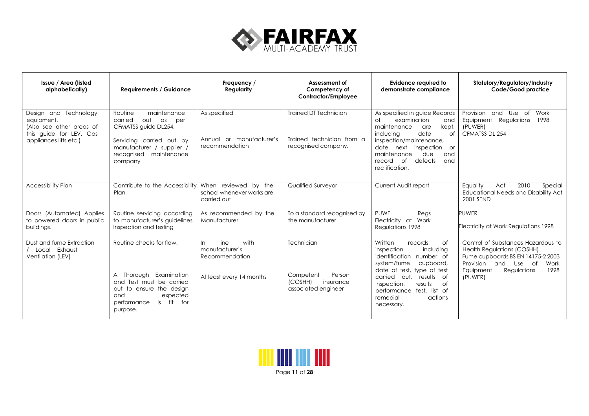

| Issue / Area (listed<br>alphabetically)                                                                              | <b>Requirements / Guidance</b>                                                                                                                                                  | Frequency /<br>Regularity                                                           | Assessment of<br>Competency of<br>Contractor/Employee                            | <b>Evidence required to</b><br>demonstrate compliance                                                                                                                                                                                                                          | Statutory/Regulatory/Industry<br>Code/Good practice                                                                                                                                            |
|----------------------------------------------------------------------------------------------------------------------|---------------------------------------------------------------------------------------------------------------------------------------------------------------------------------|-------------------------------------------------------------------------------------|----------------------------------------------------------------------------------|--------------------------------------------------------------------------------------------------------------------------------------------------------------------------------------------------------------------------------------------------------------------------------|------------------------------------------------------------------------------------------------------------------------------------------------------------------------------------------------|
| Design and Technology<br>equipment.<br>(Also see other areas of<br>this quide for LEV, Gas<br>appliances lifts etc.) | maintenance<br>Routine<br>carried<br>out<br>as<br>per<br>CFMATSS guide DL254.<br>Servicing carried out by<br>manufacturer / supplier /<br>maintenance<br>recognised<br>company  | As specified<br>Annual or manufacturer's<br>recommendation                          | Trained DT Technician<br>Trained technician from a<br>recognised company.        | As specified in guide Records<br>$\circ$ f<br>examination<br>and<br>maintenance<br>kept,<br>are<br>date<br>including<br>of<br>inspection/maintenance,<br>date next<br>inspection<br><b>or</b><br>due<br>and<br>maintenance<br>defects<br>of<br>and<br>record<br>rectification. | Provision and<br>Use of<br>Work<br>Regulations<br>1998<br>Equipment<br>(PUWER)<br>CFMATSS DL 254                                                                                               |
| <b>Accessibility Plan</b>                                                                                            | Contribute to the Accessibility<br>Plan                                                                                                                                         | When reviewed by the<br>school whenever works are<br>carried out                    | Qualified Surveyor                                                               | Current Audit report                                                                                                                                                                                                                                                           | 2010<br>Equality<br>Act<br>Special<br><b>Educational Needs and Disability Act</b><br>2001 SEND                                                                                                 |
| Doors (Automated) Applies<br>to powered doors in public<br>buildings.                                                | Routine servicing according<br>to manufacturer's guidelines<br>Inspection and testing                                                                                           | As recommended by the<br>Manufacturer                                               | To a standard recognised by<br>the manufacturer                                  | PUWE<br>Regs<br>Electricity at Work<br>Regulations 1998                                                                                                                                                                                                                        | <b>PUWER</b><br>Electricity at Work Regulations 1998                                                                                                                                           |
| Dust and fume Extraction<br>Local Exhaust<br>Ventilation (LEV)                                                       | Routine checks for flow.<br>A Thorough Examination<br>Test must be carried<br>and<br>out to ensure the design<br>expected<br>and<br>fit<br>for<br>performance<br>is<br>purpose. | line<br>with<br>In.<br>manufacturer's<br>Recommendation<br>At least every 14 months | Technician<br>Person<br>Competent<br>(COSHH)<br>insurance<br>associated engineer | Written<br>records<br>0f<br>inspection<br>including<br>identification number of<br>system/fume<br>cupboard,<br>date of test, type of test<br>results of<br>carried<br>out.<br>results<br>of<br>inspection.<br>performance test, list of<br>remedial<br>actions<br>necessary.   | Control of Substances Hazardous to<br><b>Health Regulations (COSHH)</b><br>Fume cupboards BS EN 14175-2 2003<br>Provision and<br>Use of<br>Work<br>Regulations<br>1998<br>Equipment<br>(PUWER) |

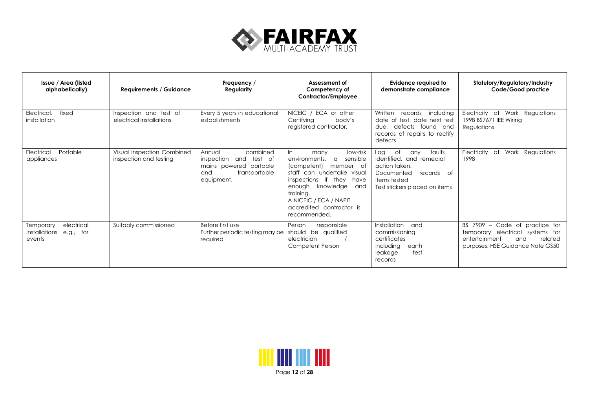

| Issue / Area (listed<br>alphabetically)                         | <b>Requirements / Guidance</b>                       | Frequency /<br>Regularity                                                                                    | Assessment of<br>Competency of<br>Contractor/Employee                                                                                                                                                                                                                  | Evidence required to<br>demonstrate compliance                                                                                                       | Statutory/Regulatory/Industry<br>Code/Good practice                                                                                          |
|-----------------------------------------------------------------|------------------------------------------------------|--------------------------------------------------------------------------------------------------------------|------------------------------------------------------------------------------------------------------------------------------------------------------------------------------------------------------------------------------------------------------------------------|------------------------------------------------------------------------------------------------------------------------------------------------------|----------------------------------------------------------------------------------------------------------------------------------------------|
| Electrical,<br>fixed<br>installation                            | Inspection and test of<br>electrical installations   | Every 5 years in educational<br>establishments                                                               | NICEIC / ECA or other<br>Certifying<br>body's<br>registered contractor.                                                                                                                                                                                                | Written<br>records<br>including<br>date of test, date next test<br>defects found and<br>due,<br>records of repairs to rectify<br>defects             | Electricity at Work Regulations<br>1998 BS7671 IEE Wiring<br>Regulations                                                                     |
| Portable<br>Electrical<br>appliances                            | Visual inspection Combined<br>inspection and testing | combined<br>Annual<br>inspection and test of<br>mains powered portable<br>transportable<br>and<br>equipment. | $\ln$<br>low-risk<br>many<br>sensible<br>environments.<br>$\alpha$<br>(competent)<br>member of<br>staff can undertake visual<br>inspections if they have<br>knowledge and<br>enough<br>training.<br>A NICEIC / ECA / NAPIT<br>accredited contractor is<br>recommended. | Log<br>0f<br>faults<br>any<br>identified, and remedial<br>action taken.<br>Documented<br>records of<br>items tested<br>Test stickers placed on items | Electricity<br>at<br>Work Regulations<br>1998                                                                                                |
| electrical<br>Temporary<br>installations<br>e.g., for<br>events | Suitably commissioned                                | Before first use<br>Further periodic testing may be<br>required                                              | Person<br>responsible<br>should be qualified<br>electrician<br>Competent Person                                                                                                                                                                                        | Installation<br>and<br>commissioning<br>certificates<br>including<br>earth<br>test<br>leakage<br>records                                             | BS 7909 -<br>Code of practice for<br>temporary electrical systems for<br>entertainment<br>related<br>and<br>purposes. HSE Guidance Note GS50 |

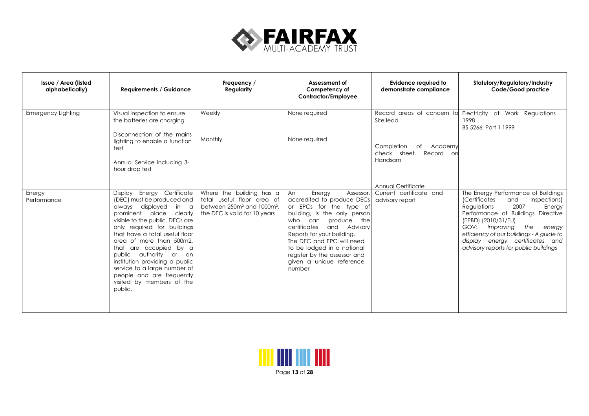

| Issue / Area (listed<br>alphabetically) | <b>Requirements / Guidance</b>                                                                                                                                                                                                                                                                                                                                                                                                                         | Frequency /<br>Regularity                                                                                                                     | Assessment of<br>Competency of<br>Contractor/Employee                                                                                                                                                                                                                                                                                                | Evidence required to<br>demonstrate compliance                                    | Statutory/Regulatory/Industry<br>Code/Good practice                                                                                                                                                                                                                                                                                            |
|-----------------------------------------|--------------------------------------------------------------------------------------------------------------------------------------------------------------------------------------------------------------------------------------------------------------------------------------------------------------------------------------------------------------------------------------------------------------------------------------------------------|-----------------------------------------------------------------------------------------------------------------------------------------------|------------------------------------------------------------------------------------------------------------------------------------------------------------------------------------------------------------------------------------------------------------------------------------------------------------------------------------------------------|-----------------------------------------------------------------------------------|------------------------------------------------------------------------------------------------------------------------------------------------------------------------------------------------------------------------------------------------------------------------------------------------------------------------------------------------|
| <b>Emergency Lighting</b>               | Visual inspection to ensure<br>the batteries are charging<br>Disconnection of the mains<br>lighting to enable a function<br>test<br>Annual Service including 3-<br>hour drop test                                                                                                                                                                                                                                                                      | Weekly<br>Monthly                                                                                                                             | None required<br>None required                                                                                                                                                                                                                                                                                                                       | Site lead<br>Completion<br>of Academy<br>check sheet.<br>Record<br>-on<br>Handsam | Record areas of concern to Electricity at Work Regulations<br>1998<br>BS 5266: Part 1 1999                                                                                                                                                                                                                                                     |
| Energy<br>Performance                   | Display Energy Certificate<br>(DEC) must be produced and<br>always displayed<br>in a<br>prominent place<br>clearly<br>visible to the public. DECs are<br>only required for buildings<br>that have a total useful floor<br>area of more than 500m2.<br>are occupied by a<br>that<br>public<br>authority or<br>an<br>institution providing a public<br>service to a large number of<br>people and are frequently<br>visited by members of the<br>public. | Where the building has a<br>total useful floor area of<br>between 250m <sup>2</sup> and 1000m <sup>2</sup> ,<br>the DEC is valid for 10 years | Energy<br>An<br>Assessor,<br>accredited to produce DECs<br>or EPCs for the type of<br>building, is the only person<br>produce<br>the<br>who<br>can<br>certificates<br>and<br>Advisory<br>Reports for your building.<br>The DEC and EPC will need<br>to be lodged in a national<br>register by the assessor and<br>given a unique reference<br>number | Annual Certificate<br>Current certificate and<br>advisory report                  | The Energy Performance of Buildings<br>Inspections)<br><i>(Certificates</i><br>and<br>2007<br>Regulations<br>Energy<br>Performance of Buildings Directive<br>(EPBD) (2010/31/EU)<br>GOV:<br>Improving<br>the<br>energy<br>efficiency of our buildings - A guide to<br>display energy certificates and<br>advisory reports for public buildings |

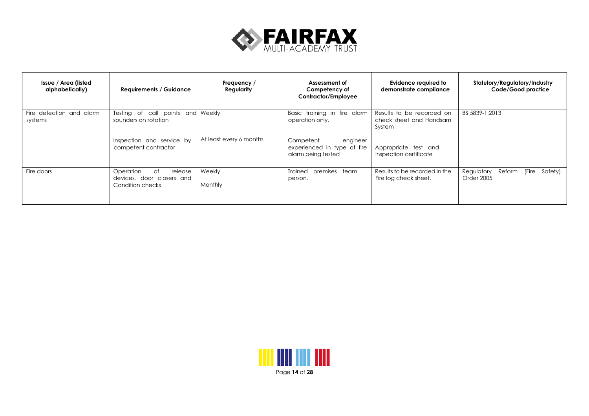

| Issue / Area (listed<br>alphabetically) | <b>Requirements / Guidance</b>                                              | Frequency /<br>Regularity | Assessment of<br>Competency of<br>Contractor/Employee                      | Evidence required to<br>demonstrate compliance                 | Statutory/Regulatory/Industry<br>Code/Good practice    |
|-----------------------------------------|-----------------------------------------------------------------------------|---------------------------|----------------------------------------------------------------------------|----------------------------------------------------------------|--------------------------------------------------------|
| Fire detection and alarm<br>systems     | Testing of call points and<br>sounders on rotation                          | Weekly                    | Basic training in fire alarm<br>operation only.                            | Results to be recorded on<br>check sheet and Handsam<br>System | BS 5839-1:2013                                         |
|                                         | Inspection and service by<br>competent contractor                           | At least every 6 months   | engineer<br>Competent<br>experienced in type of fire<br>alarm being tested | Appropriate test and<br>inspection certificate                 |                                                        |
| Fire doors                              | Operation<br>of<br>release<br>devices, door closers and<br>Condition checks | Weekly<br>Monthly         | Trained premises team<br>person.                                           | Results to be recorded in the<br>Fire log check sheet.         | (Fire<br>Regulatory<br>Safety)<br>Reform<br>Order 2005 |

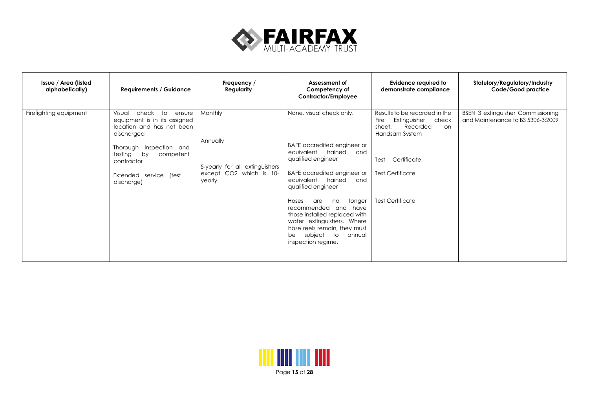

| Issue / Area (listed<br>alphabetically) | <b>Requirements / Guidance</b>                                                                                                                                                                                               | Frequency /<br>Regularity                                                                     | Assessment of<br>Competency of<br>Contractor/Employee                                                                                                                                                                                                                                                                                                                                                            | Evidence required to<br>demonstrate compliance                                                                                                                                            | Statutory/Regulatory/Industry<br>Code/Good practice                           |
|-----------------------------------------|------------------------------------------------------------------------------------------------------------------------------------------------------------------------------------------------------------------------------|-----------------------------------------------------------------------------------------------|------------------------------------------------------------------------------------------------------------------------------------------------------------------------------------------------------------------------------------------------------------------------------------------------------------------------------------------------------------------------------------------------------------------|-------------------------------------------------------------------------------------------------------------------------------------------------------------------------------------------|-------------------------------------------------------------------------------|
| Firefighting equipment                  | Visual<br>check<br>to ensure<br>equipment is in its assigned<br>location and has not been<br>discharged<br>Thorough inspection and<br>testing<br>by<br>competent<br>contractor<br>Extended<br>service<br>(test<br>discharge) | Monthly<br>Annually<br>5-yearly for all extinguishers<br>CO2 which is 10-<br>except<br>yearly | None, visual check only.<br>BAFE accredited engineer or<br>trained<br>equivalent<br>and<br>qualified engineer<br>BAFE accredited engineer or<br>trained<br>eauivalent<br>and<br>qualified engineer<br>longer<br>Hoses<br>are<br>no<br>recommended and have<br>those installed replaced with<br>water extinguishers. Where<br>hose reels remain, they must<br>subject<br>to<br>annual<br>be<br>inspection regime. | Results to be recorded in the<br>Fire<br>Extinguisher<br>check<br>Recorded<br>sheet.<br>on<br>Handsam System<br>Certificate<br>Test<br><b>Test Certificate</b><br><b>Test Certificate</b> | <b>BSEN 3 extinguisher Commissioning</b><br>and Maintenance to BS 5306-3:2009 |

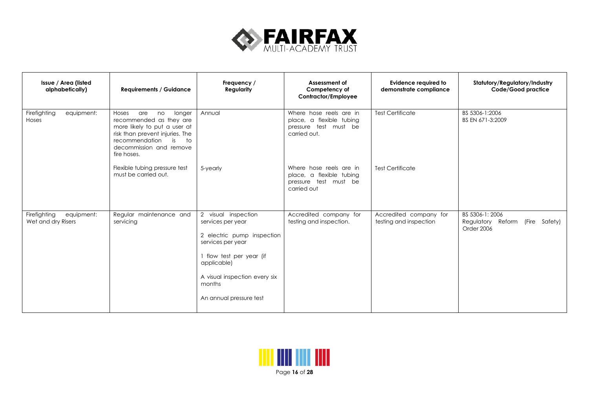

| Issue / Area (listed<br>alphabetically)          | <b>Requirements / Guidance</b>                                                                                                                                                                                           | Frequency /<br><b>Regularity</b>                                                                                                                                                                             | Assessment of<br>Competency of<br>Contractor/Employee                                        | Evidence required to<br>demonstrate compliance   | Statutory/Regulatory/Industry<br>Code/Good practice                    |
|--------------------------------------------------|--------------------------------------------------------------------------------------------------------------------------------------------------------------------------------------------------------------------------|--------------------------------------------------------------------------------------------------------------------------------------------------------------------------------------------------------------|----------------------------------------------------------------------------------------------|--------------------------------------------------|------------------------------------------------------------------------|
| Firefighting<br>equipment:<br>Hoses              | Hoses<br>are<br>longer<br>no<br>recommended as they are<br>more likely to put a user at<br>risk than prevent injuries. The<br>recommendation<br>$\overline{\phantom{a}}$<br>is<br>decommission and remove<br>fire hoses. | Annual                                                                                                                                                                                                       | Where hose reels are in<br>place, a flexible tubing<br>pressure test must be<br>carried out. | <b>Test Certificate</b>                          | BS 5306-1:2006<br>BS EN 671-3:2009                                     |
|                                                  | Flexible tubing pressure test<br>must be carried out.                                                                                                                                                                    | 5-yearly                                                                                                                                                                                                     | Where hose reels are in<br>place, a flexible tubing<br>pressure test must be<br>carried out  | <b>Test Certificate</b>                          |                                                                        |
| Firefighting<br>equipment:<br>Wet and dry Risers | Regular maintenance and<br>servicing                                                                                                                                                                                     | 2 visual inspection<br>services per year<br>2 electric pump inspection<br>services per year<br>1 flow test per year (if<br>applicable)<br>A visual inspection every six<br>months<br>An annual pressure test | Accredited company for<br>testing and inspection.                                            | Accredited company for<br>testing and inspection | BS 5306-1: 2006<br>Regulatory Reform<br>(Fire<br>Safety)<br>Order 2006 |

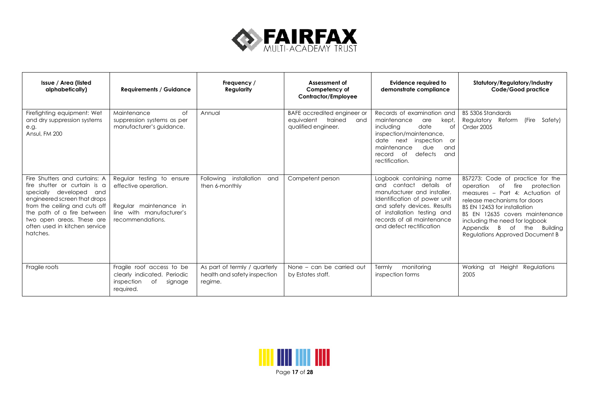

| Issue / Area (listed<br>alphabetically)                                                                                                                                                                                                                           | <b>Requirements / Guidance</b>                                                                                              | Frequency /<br>Regularity                                                | Assessment of<br>Competency of<br>Contractor/Employee                              | Evidence required to<br>demonstrate compliance                                                                                                                                                                                              | Statutory/Regulatory/Industry<br>Code/Good practice                                                                                                                                                                                                                                                                            |
|-------------------------------------------------------------------------------------------------------------------------------------------------------------------------------------------------------------------------------------------------------------------|-----------------------------------------------------------------------------------------------------------------------------|--------------------------------------------------------------------------|------------------------------------------------------------------------------------|---------------------------------------------------------------------------------------------------------------------------------------------------------------------------------------------------------------------------------------------|--------------------------------------------------------------------------------------------------------------------------------------------------------------------------------------------------------------------------------------------------------------------------------------------------------------------------------|
| Firefighting equipment: Wet<br>and dry suppression systems<br>e.g.<br>Ansul, FM 200                                                                                                                                                                               | Maintenance<br>$\circ$ f<br>suppression systems as per<br>manufacturer's guidance.                                          | Annual                                                                   | BAFE accredited engineer or<br>equivalent<br>trained<br>and<br>qualified engineer. | Records of examination and<br>maintenance<br>kept,<br>are<br>date<br>including<br>of<br>inspection/maintenance,<br>date next<br>inspection or<br>due<br>maintenance<br>and<br>defects<br>of<br>and<br>record<br>rectification.              | BS 5306 Standards<br>(Fire<br>Regulatory Reform<br>Safety)<br>Order 2005                                                                                                                                                                                                                                                       |
| Fire Shutters and curtains: A<br>fire shutter or curtain is a<br>specially developed and<br>engineered screen that drops<br>from the ceiling and cuts off<br>the path of a fire between<br>two open areas. These are<br>often used in kitchen service<br>hatches. | Regular testing to ensure<br>effective operation.<br>Regular maintenance in<br>line with manufacturer's<br>recommendations. | Following installation<br>and<br>then 6-monthly                          | Competent person                                                                   | Logbook containing name<br>contact details of<br>and<br>manufacturer and installer.<br>Identification of power unit<br>and safety devices. Results<br>of installation testing and<br>records of all maintenance<br>and defect rectification | BS7273: Code of practice for the<br>fire<br>operation<br>protection<br>of<br>measures - Part 4: Actuation of<br>release mechanisms for doors<br>BS EN 12453 for installation<br>BS EN 12635 covers maintenance<br>including the need for logbook<br>Appendix<br>B.<br>of<br>the<br>Buildina<br>Regulations Approved Document B |
| Fragile roofs                                                                                                                                                                                                                                                     | Fragile roof access to be<br>clearly indicated. Periodic<br>inspection<br>of<br>signage<br>required.                        | As part of termly / quarterly<br>health and safety inspection<br>regime. | None - can be carried out<br>by Estates staff.                                     | Termly<br>monitoring<br>inspection forms                                                                                                                                                                                                    | Working at Height<br>Regulations<br>2005                                                                                                                                                                                                                                                                                       |

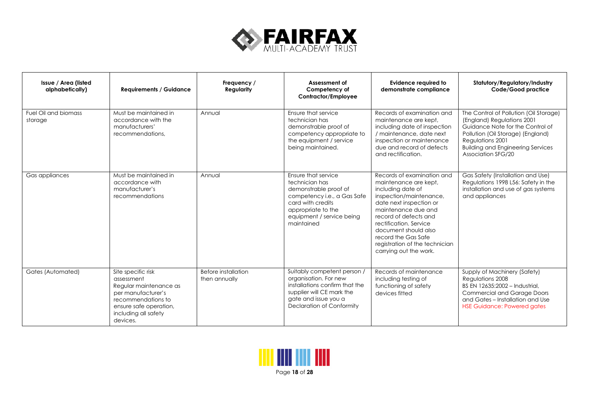

| Issue / Area (listed<br>alphabetically) | <b>Requirements / Guidance</b>                                                                                                                                       | Frequency /<br><b>Regularity</b>     | Assessment of<br>Competency of<br>Contractor/Employee                                                                                                                                       | <b>Evidence required to</b><br>demonstrate compliance                                                                                                                                                                                                                                                               | Statutory/Regulatory/Industry<br>Code/Good practice                                                                                                                                                                                 |
|-----------------------------------------|----------------------------------------------------------------------------------------------------------------------------------------------------------------------|--------------------------------------|---------------------------------------------------------------------------------------------------------------------------------------------------------------------------------------------|---------------------------------------------------------------------------------------------------------------------------------------------------------------------------------------------------------------------------------------------------------------------------------------------------------------------|-------------------------------------------------------------------------------------------------------------------------------------------------------------------------------------------------------------------------------------|
| Fuel Oil and biomass<br>storage         | Must be maintained in<br>accordance with the<br>manufacturers'<br>recommendations,                                                                                   | Annual                               | Ensure that service<br>technician has<br>demonstrable proof of<br>competency appropriate to<br>the equipment / service<br>being maintained.                                                 | Records of examination and<br>maintenance are kept,<br>including date of inspection<br>/ maintenance, date next<br>inspection or maintenance<br>due and record of defects<br>and rectification.                                                                                                                     | The Control of Pollution (Oil Storage)<br>(England) Regulations 2001<br>Guidance Note for the Control of<br>Pollution (Oil Storage) (England)<br>Regulations 2001<br><b>Building and Engineering Services</b><br>Association SFG/20 |
| Gas appliances                          | Must be maintained in<br>accordance with<br>manufacturer's<br>recommendations                                                                                        | Annual                               | Ensure that service<br>technician has<br>demonstrable proof of<br>competency <i>i.e.</i> , a Gas Safe<br>card with credits<br>appropriate to the<br>equipment / service being<br>maintained | Records of examination and<br>maintenance are kept,<br>including date of<br>inspection/maintenance,<br>date next inspection or<br>maintenance due and<br>record of defects and<br>rectification, Service<br>document should also<br>record the Gas Safe<br>registration of the technician<br>carrying out the work. | Gas Safety (Installation and Use)<br>Regulations 1998 L56: Safety in the<br>installation and use of gas systems<br>and appliances                                                                                                   |
| Gates (Automated)                       | Site specific risk<br>assessment<br>Regular maintenance as<br>per manufacturer's<br>recommendations to<br>ensure safe operation,<br>including all safety<br>devices. | Before installation<br>then annually | Suitably competent person /<br>organisation. For new<br>installations confirm that the<br>supplier will CE mark the<br>gate and issue you a<br><b>Declaration of Conformity</b>             | Records of maintenance<br>including testing of<br>functioning of safety<br>devices fitted                                                                                                                                                                                                                           | Supply of Machinery (Safety)<br>Regulations 2008<br>BS EN 12635:2002 - Industrial,<br><b>Commercial and Garage Doors</b><br>and Gates - Installation and Use<br><b>HSE Guidance: Powered gates</b>                                  |

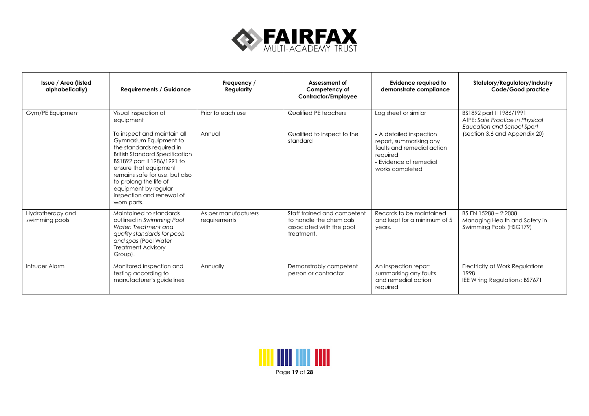

| Issue / Area (listed<br>alphabetically) | <b>Requirements / Guidance</b>                                                                                                                                                                                                                                                                                                                           | Frequency /<br>Regularity            | Assessment of<br>Competency of<br>Contractor/Employee                                            | Evidence required to<br>demonstrate compliance                                                                                                                    | Statutory/Regulatory/Industry<br>Code/Good practice                                                                        |
|-----------------------------------------|----------------------------------------------------------------------------------------------------------------------------------------------------------------------------------------------------------------------------------------------------------------------------------------------------------------------------------------------------------|--------------------------------------|--------------------------------------------------------------------------------------------------|-------------------------------------------------------------------------------------------------------------------------------------------------------------------|----------------------------------------------------------------------------------------------------------------------------|
| Gym/PE Equipment                        | Visual inspection of<br>equipment<br>To inspect and maintain all<br>Gymnasium Equipment to<br>the standards required in<br><b>British Standard Specification</b><br>BS1892 part II 1986/1991 to<br>ensure that equipment<br>remains safe for use, but also<br>to prolong the life of<br>equipment by regular<br>inspection and renewal of<br>worn parts. | Prior to each use<br>Annual          | Qualified PE teachers<br>Qualified to inspect to the<br>standard                                 | Log sheet or similar<br>- A detailed inspection<br>report, summarising any<br>faults and remedial action<br>required<br>- Evidence of remedial<br>works completed | BS1892 part II 1986/1991<br>AfPE: Safe Practice in Physical<br>Education and School Sport<br>(section 3.6 and Appendix 20) |
| Hydrotherapy and<br>swimming pools      | Maintained to standards<br>outlined in Swimming Pool<br>Water: Treatment and<br>quality standards for pools<br>and spas (Pool Water<br><b>Treatment Advisory</b><br>Group).                                                                                                                                                                              | As per manufacturers<br>requirements | Staff trained and competent<br>to handle the chemicals<br>associated with the pool<br>treatment. | Records to be maintained<br>and kept for a minimum of 5<br>years.                                                                                                 | BS EN 15288 - 2:2008<br>Managing Health and Safety in<br>Swimming Pools (HSG179)                                           |
| Intruder Alarm                          | Monitored inspection and<br>testing according to<br>manufacturer's guidelines                                                                                                                                                                                                                                                                            | Annually                             | Demonstrably competent<br>person or contractor                                                   | An inspection report<br>summarising any faults<br>and remedial action<br>required                                                                                 | Electricity at Work Regulations<br>1998<br>IEE Wiring Regulations: BS7671                                                  |

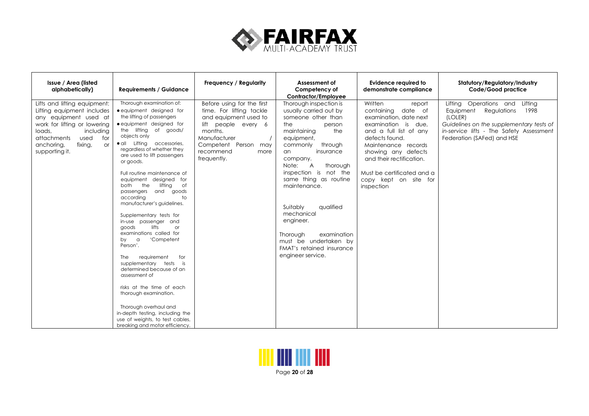

| Issue / Area (listed<br>alphabetically)                                                                                                                                                                                          | <b>Requirements / Guidance</b>                                                                                                                                                                                                                                                                                                                                                                                                                                                                                                                                                                                                                                                                                                                                                                                                                                                         | Frequency / Regularity                                                                                                                                                                        | Assessment of<br>Competency of<br>Contractor/Employee                                                                                                                                                                                                                                                                                                                                                                                                | Evidence required to<br>demonstrate compliance                                                                                                                                                                                                                                      | Statutory/Regulatory/Industry<br>Code/Good practice                                                                                                                                                 |
|----------------------------------------------------------------------------------------------------------------------------------------------------------------------------------------------------------------------------------|----------------------------------------------------------------------------------------------------------------------------------------------------------------------------------------------------------------------------------------------------------------------------------------------------------------------------------------------------------------------------------------------------------------------------------------------------------------------------------------------------------------------------------------------------------------------------------------------------------------------------------------------------------------------------------------------------------------------------------------------------------------------------------------------------------------------------------------------------------------------------------------|-----------------------------------------------------------------------------------------------------------------------------------------------------------------------------------------------|------------------------------------------------------------------------------------------------------------------------------------------------------------------------------------------------------------------------------------------------------------------------------------------------------------------------------------------------------------------------------------------------------------------------------------------------------|-------------------------------------------------------------------------------------------------------------------------------------------------------------------------------------------------------------------------------------------------------------------------------------|-----------------------------------------------------------------------------------------------------------------------------------------------------------------------------------------------------|
| Lifts and lifting equipment:<br>Lifting equipment includes<br>any equipment used at<br>work for lifting or lowering<br>loads,<br>including<br>used<br>attachments<br>for<br>fixing,<br>anchoring,<br><b>or</b><br>supporting it. | Thorough examination of:<br>• equipment designed for<br>the lifting of passengers<br>• equipment designed for<br>the lifting of goods/<br>objects only<br>· all Lifting accessories,<br>regardless of whether they<br>are used to lift passengers<br>or goods.<br>Full routine maintenance of<br>equipment designed for<br>both<br>the<br>lifting<br>of<br>passengers and<br>goods<br>accordina<br>to<br>manufacturer's guidelines.<br>Supplementary tests for<br>in-use passenger and<br>lifts<br>$\alpha$<br>aoods<br>examinations called for<br>'Competent<br>by<br>$\alpha$<br>Person'.<br>requirement<br>for<br>The<br>supplementary tests is<br>determined because of an<br>assessment of<br>risks at the time of each<br>thorough examination.<br>Thorough overhaul and<br>in-depth testing, including the<br>use of weights, to test cables,<br>breaking and motor efficiency. | Before using for the first<br>time. For lifting tackle<br>and equipment used to<br>lift people every 6<br>months.<br>Manufacturer<br>Competent Person may<br>recommend<br>more<br>frequently. | Thorough inspection is<br>usually carried out by<br>someone other than<br>the<br>person<br>maintaining<br>the<br>equipment,<br>through<br>commonly<br>insurance<br>an<br>company.<br>$\overline{A}$<br>thorough<br>Note:<br>inspection is not the<br>same thing as routine<br>maintenance.<br>qualified<br>Suitably<br>mechanical<br>engineer.<br>examination<br>Thorough<br>must be undertaken by<br>FMAT's retained insurance<br>engineer service. | Written<br>report<br>containing date of<br>examination, date next<br>examination is due,<br>and a full list of any<br>defects found.<br>Maintenance records<br>showing any defects<br>and their rectification.<br>Must be certificated and a<br>copy kept on site for<br>inspection | Lifting Operations and Lifting<br>Regulations<br>1998<br>Equipment<br>(LOLER)<br>Guidelines on the supplementary tests of<br>in-service lifts - The Safety Assessment<br>Federation (SAFed) and HSE |

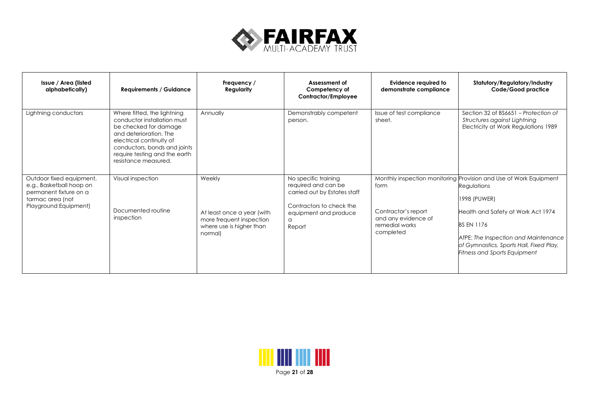

| Issue / Area (listed<br>alphabetically)                                                                                     | <b>Requirements / Guidance</b>                                                                                                                                                                                                     | Frequency /<br>Regularity                                                                               | Assessment of<br>Competency of<br>Contractor/Employee                                                                                                  | Evidence required to<br>demonstrate compliance                                    | Statutory/Regulatory/Industry<br>Code/Good practice                                                                                                                                                                                                                                   |
|-----------------------------------------------------------------------------------------------------------------------------|------------------------------------------------------------------------------------------------------------------------------------------------------------------------------------------------------------------------------------|---------------------------------------------------------------------------------------------------------|--------------------------------------------------------------------------------------------------------------------------------------------------------|-----------------------------------------------------------------------------------|---------------------------------------------------------------------------------------------------------------------------------------------------------------------------------------------------------------------------------------------------------------------------------------|
| Lightning conductors                                                                                                        | Where fitted, the lightning<br>conductor installation must<br>be checked for damage<br>and deterioration. The<br>electrical continuity of<br>conductors, bonds and joints<br>require testing and the earth<br>resistance measured. | Annually                                                                                                | Demonstrably competent<br>person.                                                                                                                      | Issue of test compliance<br>sheet.                                                | Section 32 of BS6651 – Protection of<br>Structures against Lightning<br>Electricity at Work Regulations 1989                                                                                                                                                                          |
| Outdoor fixed equipment,<br>e.g., Basketball hoop on<br>permanent fixture on a<br>tarmac area (not<br>Playground Equipment) | Visual inspection<br>Documented routine<br>inspection                                                                                                                                                                              | Weekly<br>At least once a year (with<br>more frequent inspection<br>where use is higher than<br>normal) | No specific training<br>required and can be<br>carried out by Estates staff<br>Contractors to check the<br>equipment and produce<br>$\Omega$<br>Report | form<br>Contractor's report<br>and any evidence of<br>remedial works<br>completed | Monthly inspection monitoring Provision and Use of Work Equipment<br>Regulations<br>1998 (PUWER)<br>Health and Safety at Work Act 1974<br><b>BS EN 1176</b><br>AfPE: The Inspection and Maintenance<br>of Gymnastics, Sports Hall, Fixed Play,<br><b>Fitness and Sports Equipment</b> |

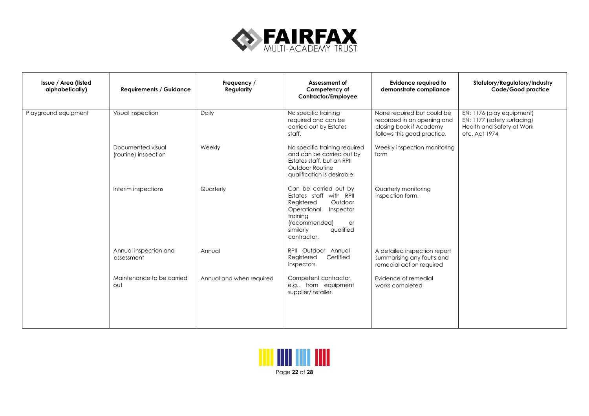

| Issue / Area (listed<br>alphabetically) | <b>Requirements / Guidance</b>            | Frequency /<br>Regularity | Assessment of<br>Competency of<br>Contractor/Employee                                                                                                                             | <b>Evidence required to</b><br>demonstrate compliance                                                              | Statutory/Regulatory/Industry<br>Code/Good practice                                                    |
|-----------------------------------------|-------------------------------------------|---------------------------|-----------------------------------------------------------------------------------------------------------------------------------------------------------------------------------|--------------------------------------------------------------------------------------------------------------------|--------------------------------------------------------------------------------------------------------|
| Playground equipment                    | Visual inspection                         | Daily                     | No specific training<br>required and can be<br>carried out by Estates<br>staff.                                                                                                   | None required but could be<br>recorded in an opening and<br>closing book if Academy<br>follows this good practice. | EN: 1176 (play equipment)<br>EN: 1177 (safety surfacing)<br>Health and Safety at Work<br>etc. Act 1974 |
|                                         | Documented visual<br>(routine) inspection | Weekly                    | No specific training required<br>and can be carried out by<br>Estates staff, but an RPII<br>Outdoor Routine<br>qualification is desirable.                                        | Weekly inspection monitoring<br>form                                                                               |                                                                                                        |
|                                         | Interim inspections                       | Quarterly                 | Can be carried out by<br>Estates staff with RPII<br>Outdoor<br>Registered<br>Operational<br>Inspector<br>training<br>(recommended)<br>or<br>qualified<br>similarly<br>contractor. | Quarterly monitoring<br>inspection form.                                                                           |                                                                                                        |
|                                         | Annual inspection and<br>assessment       | Annual                    | RPII Outdoor Annual<br>Certified<br>Registered<br>inspectors.                                                                                                                     | A detailed inspection report<br>summarising any faults and<br>remedial action required                             |                                                                                                        |
|                                         | Maintenance to be carried<br>out          | Annual and when required  | Competent contractor,<br>e.g., from equipment<br>supplier/installer.                                                                                                              | Evidence of remedial<br>works completed                                                                            |                                                                                                        |

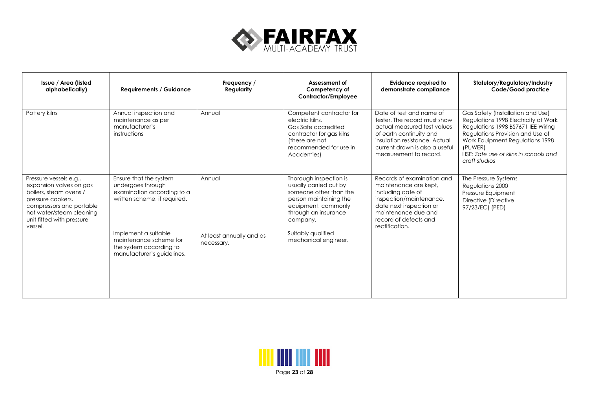

| Issue / Area (listed<br>alphabetically)                                                                                                                                                          | <b>Requirements / Guidance</b>                                                                                                                                                                                       | Frequency /<br><b>Regularity</b>                 | Assessment of<br>Competency of<br>Contractor/Employee                                                                                                                                                         | <b>Evidence required to</b><br>demonstrate compliance                                                                                                                                                           | Statutory/Regulatory/Industry<br>Code/Good practice                                                                                                                                                                                                         |
|--------------------------------------------------------------------------------------------------------------------------------------------------------------------------------------------------|----------------------------------------------------------------------------------------------------------------------------------------------------------------------------------------------------------------------|--------------------------------------------------|---------------------------------------------------------------------------------------------------------------------------------------------------------------------------------------------------------------|-----------------------------------------------------------------------------------------------------------------------------------------------------------------------------------------------------------------|-------------------------------------------------------------------------------------------------------------------------------------------------------------------------------------------------------------------------------------------------------------|
| Pottery kilns                                                                                                                                                                                    | Annual inspection and<br>maintenance as per<br>manufacturer's<br>instructions                                                                                                                                        | Annual                                           | Competent contractor for<br>electric kilns.<br>Gas Safe accredited<br>contractor for gas kilns<br>(these are not<br>recommended for use in<br>Academies)                                                      | Date of test and name of<br>tester. The record must show<br>actual measured test values<br>of earth continuity and<br>insulation resistance, Actual<br>current drawn is also a useful<br>measurement to record. | Gas Safety (Installation and Use)<br>Regulations 1998 Electricity at Work<br>Regulations 1998 BS7671 IEE Wiring<br>Regulations Provision and Use of<br>Work Equipment Regulations 1998<br>(PUWER)<br>HSE: Safe use of kilns in schools and<br>craft studios |
| Pressure vessels e.g.,<br>expansion valves on gas<br>boilers, steam ovens /<br>pressure cookers,<br>compressors and portable<br>hot water/steam cleaning<br>unit fitted with pressure<br>vessel. | Ensure that the system<br>undergoes through<br>examination according to a<br>written scheme, if required.<br>Implement a suitable<br>maintenance scheme for<br>the system according to<br>manufacturer's guidelines. | Annual<br>At least annually and as<br>necessary. | Thorough inspection is<br>usually carried out by<br>someone other than the<br>person maintaining the<br>equipment, commonly<br>through an insurance<br>company.<br>Suitably qualified<br>mechanical engineer. | Records of examination and<br>maintenance are kept,<br>including date of<br>inspection/maintenance,<br>date next inspection or<br>maintenance due and<br>record of defects and<br>rectification.                | The Pressure Systems<br>Regulations 2000<br>Pressure Equipment<br>Directive (Directive<br>97/23/EC) (PED)                                                                                                                                                   |

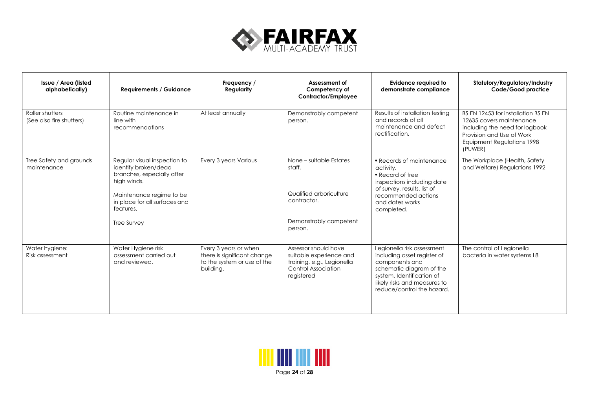

| Issue / Area (listed<br>alphabetically)     | <b>Requirements / Guidance</b>                                                                                                                                                                    | Frequency /<br>Regularity                                                                        | Assessment of<br>Competency of<br>Contractor/Employee                                                                     | <b>Evidence required to</b><br>demonstrate compliance                                                                                                                                              | Statutory/Regulatory/Industry<br>Code/Good practice                                                                                                                    |
|---------------------------------------------|---------------------------------------------------------------------------------------------------------------------------------------------------------------------------------------------------|--------------------------------------------------------------------------------------------------|---------------------------------------------------------------------------------------------------------------------------|----------------------------------------------------------------------------------------------------------------------------------------------------------------------------------------------------|------------------------------------------------------------------------------------------------------------------------------------------------------------------------|
| Roller shutters<br>(See also fire shutters) | Routine maintenance in<br>line with<br>recommendations                                                                                                                                            | At least annually                                                                                | Demonstrably competent<br>person.                                                                                         | Results of installation testing<br>and records of all<br>maintenance and defect<br>rectification.                                                                                                  | BS EN 12453 for installation BS EN<br>12635 covers maintenance<br>including the need for logbook<br>Provision and Use of Work<br>Equipment Regulations 1998<br>(PUWER) |
| Tree Safety and grounds<br>maintenance      | Regular visual inspection to<br>identify broken/dead<br>branches, especially after<br>high winds.<br>Maintenance regime to be<br>in place for all surfaces and<br>features.<br><b>Tree Survey</b> | Every 3 years Various                                                                            | None – suitable Estates<br>staff.<br>Qualified arboriculture<br>contractor.<br>Demonstrably competent<br>person.          | • Records of maintenance<br>activity.<br>• Record of tree<br>inspections including date<br>of survey, results, list of<br>recommended actions<br>and dates works<br>completed.                     | The Workplace (Health, Safety<br>and Welfare) Regulations 1992                                                                                                         |
| Water hygiene:<br>Risk assessment           | Water Hygiene risk<br>assessment carried out<br>and reviewed.                                                                                                                                     | Every 3 years or when<br>there is significant change<br>to the system or use of the<br>building. | Assessor should have<br>suitable experience and<br>training, e.g., Legionella<br><b>Control Association</b><br>registered | Legionella risk assessment<br>including asset register of<br>components and<br>schematic diagram of the<br>system. Identification of<br>likely risks and measures to<br>reduce/control the hazard. | The control of Legionella<br>bacteria in water systems L8                                                                                                              |

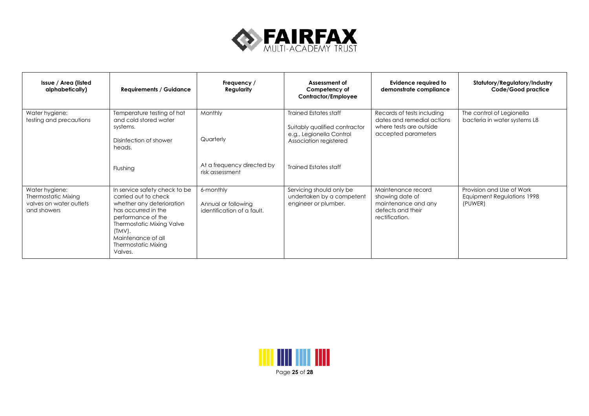

| Issue / Area (listed<br>alphabetically)                                         | <b>Requirements / Guidance</b>                                                                                                                                                                                                                  | Frequency /<br>Regularity                                             | Assessment of<br>Competency of<br>Contractor/Employee                                                                                               | Evidence required to<br>demonstrate compliance                                                             | Statutory/Regulatory/Industry<br>Code/Good practice                |
|---------------------------------------------------------------------------------|-------------------------------------------------------------------------------------------------------------------------------------------------------------------------------------------------------------------------------------------------|-----------------------------------------------------------------------|-----------------------------------------------------------------------------------------------------------------------------------------------------|------------------------------------------------------------------------------------------------------------|--------------------------------------------------------------------|
| Water hygiene:<br>testing and precautions                                       | Temperature testing of hot<br>and cold stored water<br>systems.<br>Disinfection of shower<br>heads.<br>Flushing                                                                                                                                 | Monthly<br>Quarterly<br>At a frequency directed by<br>risk assessment | <b>Trained Estates staff</b><br>Suitably qualified contractor<br>e.g., Legionella Control<br>Association registered<br><b>Trained Estates staff</b> | Records of tests including<br>dates and remedial actions<br>where tests are outside<br>accepted parameters | The control of Legionella<br>bacteria in water systems L8          |
| Water hygiene:<br>Thermostatic Mixing<br>valves on water outlets<br>and showers | In service safety check to be<br>carried out to check<br>whether any deterioration<br>has occurred in the<br>performance of the<br><b>Thermostatic Mixing Valve</b><br>$(TMV)$ .<br>Maintenance of all<br><b>Thermostatic Mixing</b><br>Valves. | 6-monthly<br>Annual or following<br>identification of a fault.        | Servicing should only be<br>undertaken by a competent<br>engineer or plumber.                                                                       | Maintenance record<br>showing date of<br>maintenance and any<br>defects and their<br>rectification.        | Provision and Use of Work<br>Equipment Regulations 1998<br>(PUWER) |

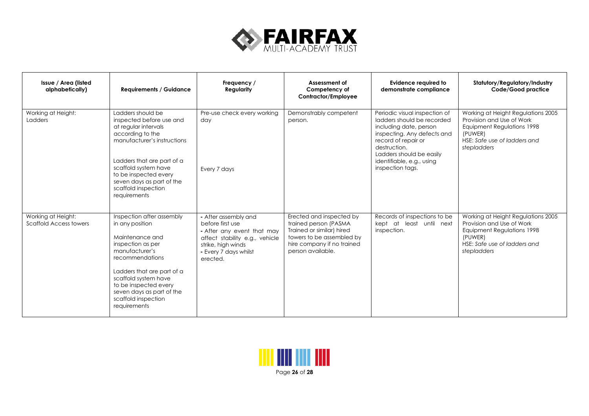

| Issue / Area (listed<br>alphabetically)      | <b>Requirements / Guidance</b>                                                                                                                                                                                                                                               | Frequency /<br>Regularity                                                                                                                                           | Assessment of<br>Competency of<br>Contractor/Employee                                                                                                          | Evidence required to<br>demonstrate compliance                                                                                                                                                                                           | Statutory/Regulatory/Industry<br>Code/Good practice                                                                                                            |
|----------------------------------------------|------------------------------------------------------------------------------------------------------------------------------------------------------------------------------------------------------------------------------------------------------------------------------|---------------------------------------------------------------------------------------------------------------------------------------------------------------------|----------------------------------------------------------------------------------------------------------------------------------------------------------------|------------------------------------------------------------------------------------------------------------------------------------------------------------------------------------------------------------------------------------------|----------------------------------------------------------------------------------------------------------------------------------------------------------------|
| Working at Height:<br>Ladders                | Ladders should be<br>inspected before use and<br>at regular intervals<br>according to the<br>manufacturer's instructions<br>Ladders that are part of a<br>scaffold system have<br>to be inspected every<br>seven days as part of the<br>scaffold inspection<br>requirements  | Pre-use check every working<br>day<br>Every 7 days                                                                                                                  | Demonstrably competent<br>person.                                                                                                                              | Periodic visual inspection of<br>ladders should be recorded<br>including date, person<br>inspecting. Any defects and<br>record of repair or<br>destruction.<br>Ladders should be easily<br>identifiable, e.g., using<br>inspection tags. | Working at Height Regulations 2005<br>Provision and Use of Work<br><b>Equipment Regulations 1998</b><br>(PUWER)<br>HSE: Safe use of ladders and<br>stepladders |
| Working at Height:<br>Scaffold Access towers | Inspection after assembly<br>in any position<br>Maintenance and<br>inspection as per<br>manufacturer's<br>recommendations<br>Ladders that are part of a<br>scaffold system have<br>to be inspected every<br>seven days as part of the<br>scaffold inspection<br>requirements | - After assembly and<br>before first use<br>- After any event that may<br>affect stability e.g., vehicle<br>strike, high winds<br>- Every 7 days whilst<br>erected. | Erected and inspected by<br>trained person (PASMA<br>Trained or similar) hired<br>towers to be assembled by<br>hire company if no trained<br>person available. | Records of inspections to be<br>kept at least until next<br>inspection.                                                                                                                                                                  | Working at Height Regulations 2005<br>Provision and Use of Work<br>Equipment Regulations 1998<br>(PUWER)<br>HSE: Safe use of ladders and<br>stepladders        |

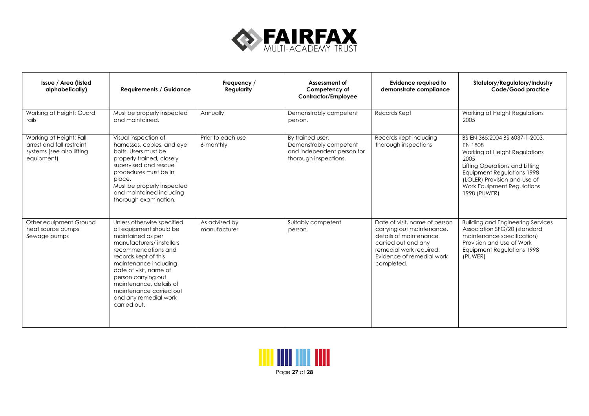

| Issue / Area (listed<br>alphabetically)                                                         | <b>Requirements / Guidance</b>                                                                                                                                                                                                                                                                                                 | Frequency /<br>Regularity      | Assessment of<br>Competency of<br>Contractor/Employee                                             | Evidence reauired to<br>demonstrate compliance                                                                                                                                    | Statutory/Regulatory/Industry<br>Code/Good practice                                                                                                                                                                                     |
|-------------------------------------------------------------------------------------------------|--------------------------------------------------------------------------------------------------------------------------------------------------------------------------------------------------------------------------------------------------------------------------------------------------------------------------------|--------------------------------|---------------------------------------------------------------------------------------------------|-----------------------------------------------------------------------------------------------------------------------------------------------------------------------------------|-----------------------------------------------------------------------------------------------------------------------------------------------------------------------------------------------------------------------------------------|
| Working at Height: Guard<br>rails                                                               | Must be properly inspected<br>and maintained.                                                                                                                                                                                                                                                                                  | Annually                       | Demonstrably competent<br>person.                                                                 | Records Kept                                                                                                                                                                      | Working at Height Regulations<br>2005                                                                                                                                                                                                   |
| Working at Height: Fall<br>arrest and fall restraint<br>systems (see also lifting<br>equipment) | Visual inspection of<br>harnesses, cables, and eye<br>bolts. Users must be<br>properly trained, closely<br>supervised and rescue<br>procedures must be in<br>place.<br>Must be properly inspected<br>and maintained including<br>thorough examination.                                                                         | Prior to each use<br>6-monthly | By trained user.<br>Demonstrably competent<br>and independent person for<br>thorough inspections. | Records kept including<br>thorough inspections                                                                                                                                    | BS EN 365:2004 BS 6037-1-2003.<br><b>EN 1808</b><br>Working at Height Regulations<br>2005<br>Lifting Operations and Lifting<br>Equipment Regulations 1998<br>(LOLER) Provision and Use of<br>Work Equipment Regulations<br>1998 (PUWER) |
| Other equipment Ground<br>heat source pumps<br>Sewage pumps                                     | Unless otherwise specified<br>all equipment should be<br>maintained as per<br>manufacturers/installers<br>recommendations and<br>records kept of this<br>maintenance including<br>date of visit, name of<br>person carrying out<br>maintenance, details of<br>maintenance carried out<br>and any remedial work<br>carried out. | As advised by<br>manufacturer  | Suitably competent<br>person.                                                                     | Date of visit, name of person<br>carrying out maintenance,<br>details of maintenance<br>carried out and any<br>remedial work required.<br>Evidence of remedial work<br>completed. | <b>Building and Engineering Services</b><br>Association SFG/20 (standard<br>maintenance specification)<br>Provision and Use of Work<br>Equipment Regulations 1998<br>(PUWER)                                                            |